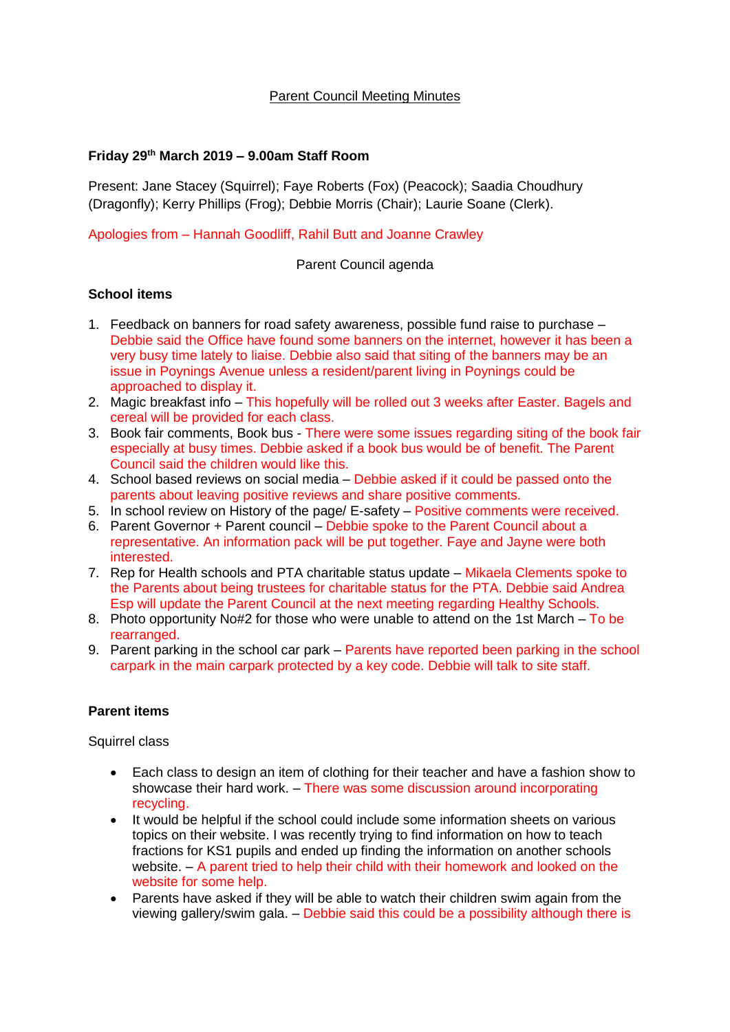### Parent Council Meeting Minutes

### **Friday 29th March 2019 – 9.00am Staff Room**

Present: Jane Stacey (Squirrel); Faye Roberts (Fox) (Peacock); Saadia Choudhury (Dragonfly); Kerry Phillips (Frog); Debbie Morris (Chair); Laurie Soane (Clerk).

#### Apologies from – Hannah Goodliff, Rahil Butt and Joanne Crawley

Parent Council agenda

## **School items**

- 1. Feedback on banners for road safety awareness, possible fund raise to purchase Debbie said the Office have found some banners on the internet, however it has been a very busy time lately to liaise. Debbie also said that siting of the banners may be an issue in Poynings Avenue unless a resident/parent living in Poynings could be approached to display it.
- 2. Magic breakfast info This hopefully will be rolled out 3 weeks after Easter. Bagels and cereal will be provided for each class.
- 3. Book fair comments, Book bus There were some issues regarding siting of the book fair especially at busy times. Debbie asked if a book bus would be of benefit. The Parent Council said the children would like this.
- 4. School based reviews on social media Debbie asked if it could be passed onto the parents about leaving positive reviews and share positive comments.
- 5. In school review on History of the page/ E-safety Positive comments were received.
- 6. Parent Governor + Parent council Debbie spoke to the Parent Council about a representative. An information pack will be put together. Faye and Jayne were both interested.
- 7. Rep for Health schools and PTA charitable status update Mikaela Clements spoke to the Parents about being trustees for charitable status for the PTA. Debbie said Andrea Esp will update the Parent Council at the next meeting regarding Healthy Schools.
- 8. Photo opportunity No#2 for those who were unable to attend on the 1st March To be rearranged.
- 9. Parent parking in the school car park Parents have reported been parking in the school carpark in the main carpark protected by a key code. Debbie will talk to site staff.

#### **Parent items**

Squirrel class

- Each class to design an item of clothing for their teacher and have a fashion show to showcase their hard work. – There was some discussion around incorporating recycling.
- It would be helpful if the school could include some information sheets on various topics on their website. I was recently trying to find information on how to teach fractions for KS1 pupils and ended up finding the information on another schools website. – A parent tried to help their child with their homework and looked on the website for some help.
- Parents have asked if they will be able to watch their children swim again from the viewing gallery/swim gala. – Debbie said this could be a possibility although there is